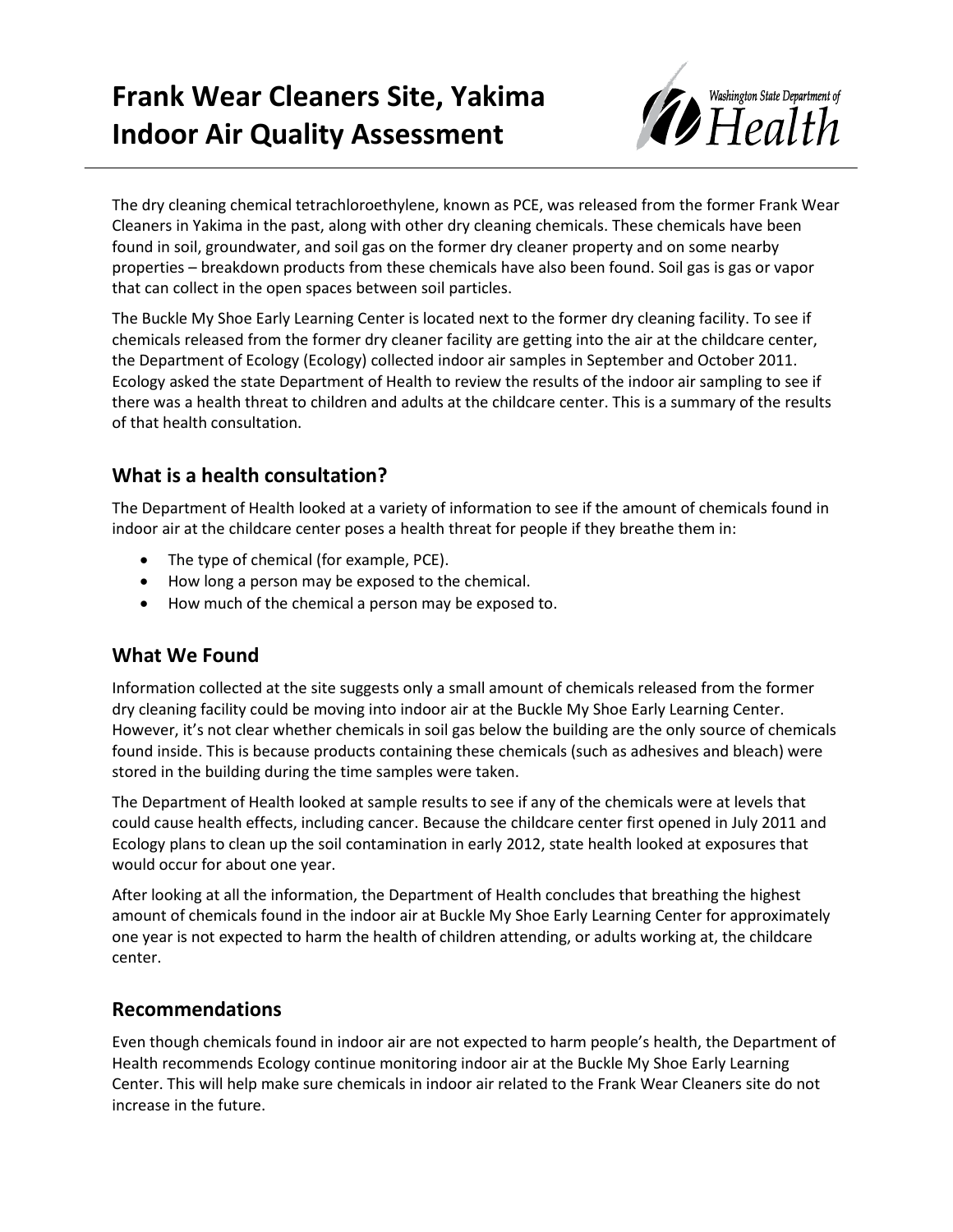# **Frank Wear Cleaners Site, Yakima Indoor Air Quality Assessment**



The dry cleaning chemical tetrachloroethylene, known as PCE, was released from the former Frank Wear Cleaners in Yakima in the past, along with other dry cleaning chemicals. These chemicals have been found in soil, groundwater, and soil gas on the former dry cleaner property and on some nearby properties – breakdown products from these chemicals have also been found. Soil gas is gas or vapor that can collect in the open spaces between soil particles.

The Buckle My Shoe Early Learning Center is located next to the former dry cleaning facility. To see if chemicals released from the former dry cleaner facility are getting into the air at the childcare center, the Department of Ecology (Ecology) collected indoor air samples in September and October 2011. Ecology asked the state Department of Health to review the results of the indoor air sampling to see if there was a health threat to children and adults at the childcare center. This is a summary of the results of that health consultation.

## **What is a health consultation?**

The Department of Health looked at a variety of information to see if the amount of chemicals found in indoor air at the childcare center poses a health threat for people if they breathe them in:

- The type of chemical (for example, PCE).
- How long a person may be exposed to the chemical.
- How much of the chemical a person may be exposed to.

## **What We Found**

Information collected at the site suggests only a small amount of chemicals released from the former dry cleaning facility could be moving into indoor air at the Buckle My Shoe Early Learning Center. However, it's not clear whether chemicals in soil gas below the building are the only source of chemicals found inside. This is because products containing these chemicals (such as adhesives and bleach) were stored in the building during the time samples were taken.

The Department of Health looked at sample results to see if any of the chemicals were at levels that could cause health effects, including cancer. Because the childcare center first opened in July 2011 and Ecology plans to clean up the soil contamination in early 2012, state health looked at exposures that would occur for about one year.

After looking at all the information, the Department of Health concludes that breathing the highest amount of chemicals found in the indoor air at Buckle My Shoe Early Learning Center for approximately one year is not expected to harm the health of children attending, or adults working at, the childcare center.

### **Recommendations**

Even though chemicals found in indoor air are not expected to harm people's health, the Department of Health recommends Ecology continue monitoring indoor air at the Buckle My Shoe Early Learning Center. This will help make sure chemicals in indoor air related to the Frank Wear Cleaners site do not increase in the future.